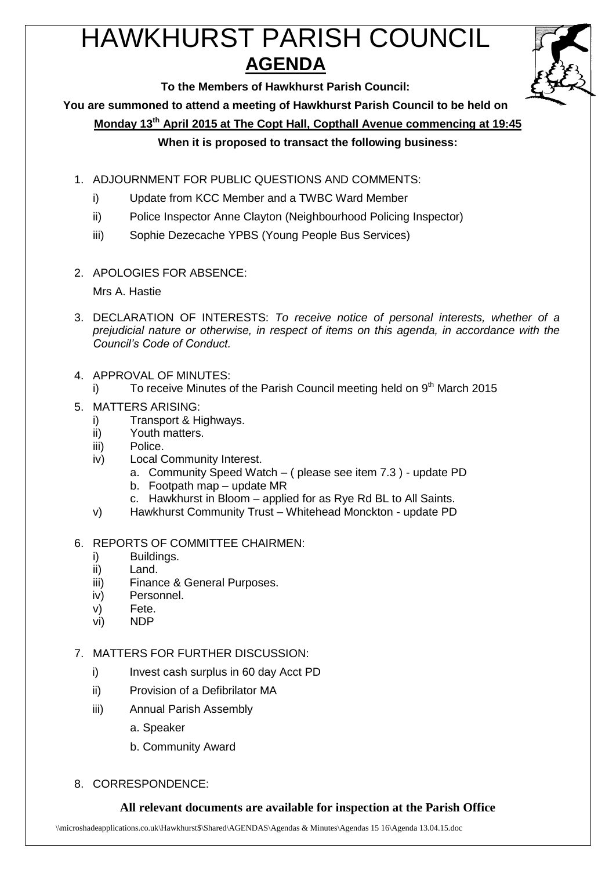# HAWKHURST PARISH COUNCIL **AGENDA**



**To the Members of Hawkhurst Parish Council:**

**You are summoned to attend a meeting of Hawkhurst Parish Council to be held on**

**Monday 13th April 2015 at The Copt Hall, Copthall Avenue commencing at 19:45**

# **When it is proposed to transact the following business:**

- 1. ADJOURNMENT FOR PUBLIC QUESTIONS AND COMMENTS:
	- i) Update from KCC Member and a TWBC Ward Member
	- ii) Police Inspector Anne Clayton (Neighbourhood Policing Inspector)
	- iii) Sophie Dezecache YPBS (Young People Bus Services)
- 2. APOLOGIES FOR ABSENCE:

Mrs A. Hastie

- 3. DECLARATION OF INTERESTS: *To receive notice of personal interests, whether of a prejudicial nature or otherwise, in respect of items on this agenda, in accordance with the Council's Code of Conduct.*
- 4. APPROVAL OF MINUTES:
	- i) To receive Minutes of the Parish Council meeting held on  $9<sup>th</sup>$  March 2015

# 5. MATTERS ARISING:

- i) Transport & Highways.
- ii) Youth matters.
- iii) Police.
- iv) Local Community Interest.
	- a. Community Speed Watch ( please see item 7.3 ) update PD
	- b. Footpath map update MR
	- c. Hawkhurst in Bloom applied for as Rye Rd BL to All Saints.
- v) Hawkhurst Community Trust Whitehead Monckton update PD
- 6. REPORTS OF COMMITTEE CHAIRMEN:
	- i) Buildings.
	- ii) Land.
	- iii) Finance & General Purposes.
	- iv) Personnel.
	- v) Fete.
	- vi) NDP

7. MATTERS FOR FURTHER DISCUSSION:

- i) Invest cash surplus in 60 day Acct PD
- ii) Provision of a Defibrilator MA
- iii) Annual Parish Assembly
	- a. Speaker
	- b. Community Award
- 8. CORRESPONDENCE:

# **All relevant documents are available for inspection at the Parish Office**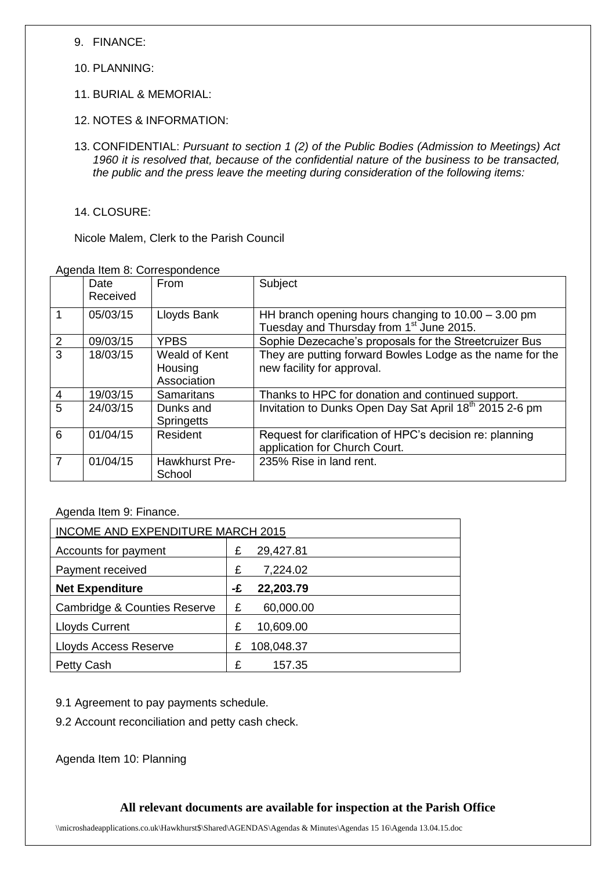9. FINANCE:

- 10. PLANNING:
- 11. BURIAL & MEMORIAL:
- 12. NOTES & INFORMATION:
- 13. CONFIDENTIAL: *Pursuant to section 1 (2) of the Public Bodies (Admission to Meetings) Act 1960 it is resolved that, because of the confidential nature of the business to be transacted, the public and the press leave the meeting during consideration of the following items:*

14. CLOSURE:

Nicole Malem, Clerk to the Parish Council

Agenda Item 8: Correspondence

|                | Date<br>Received | From                                    | Subject                                                                                                       |
|----------------|------------------|-----------------------------------------|---------------------------------------------------------------------------------------------------------------|
|                | 05/03/15         | Lloyds Bank                             | HH branch opening hours changing to $10.00 - 3.00$ pm<br>Tuesday and Thursday from 1 <sup>st</sup> June 2015. |
| 2              | 09/03/15         | <b>YPBS</b>                             | Sophie Dezecache's proposals for the Streetcruizer Bus                                                        |
| 3              | 18/03/15         | Weald of Kent<br>Housing<br>Association | They are putting forward Bowles Lodge as the name for the<br>new facility for approval.                       |
| $\overline{4}$ | 19/03/15         | Samaritans                              | Thanks to HPC for donation and continued support.                                                             |
| 5              | 24/03/15         | Dunks and<br><b>Springetts</b>          | Invitation to Dunks Open Day Sat April 18 <sup>th</sup> 2015 2-6 pm                                           |
| 6              | 01/04/15         | Resident                                | Request for clarification of HPC's decision re: planning<br>application for Church Court.                     |
| $\overline{7}$ | 01/04/15         | Hawkhurst Pre-<br>School                | 235% Rise in land rent.                                                                                       |

## Agenda Item 9: Finance.

| <b>INCOME AND EXPENDITURE MARCH 2015</b> |    |            |  |
|------------------------------------------|----|------------|--|
| Accounts for payment                     |    | 29,427.81  |  |
| Payment received                         |    | 7,224.02   |  |
| <b>Net Expenditure</b>                   | -£ | 22,203.79  |  |
| <b>Cambridge &amp; Counties Reserve</b>  | £  | 60,000.00  |  |
| <b>Lloyds Current</b>                    | £  | 10,609.00  |  |
| Lloyds Access Reserve                    | £  | 108,048.37 |  |
| Petty Cash                               | £  | 157.35     |  |

9.1 Agreement to pay payments schedule.

9.2 Account reconciliation and petty cash check.

Agenda Item 10: Planning

## **All relevant documents are available for inspection at the Parish Office**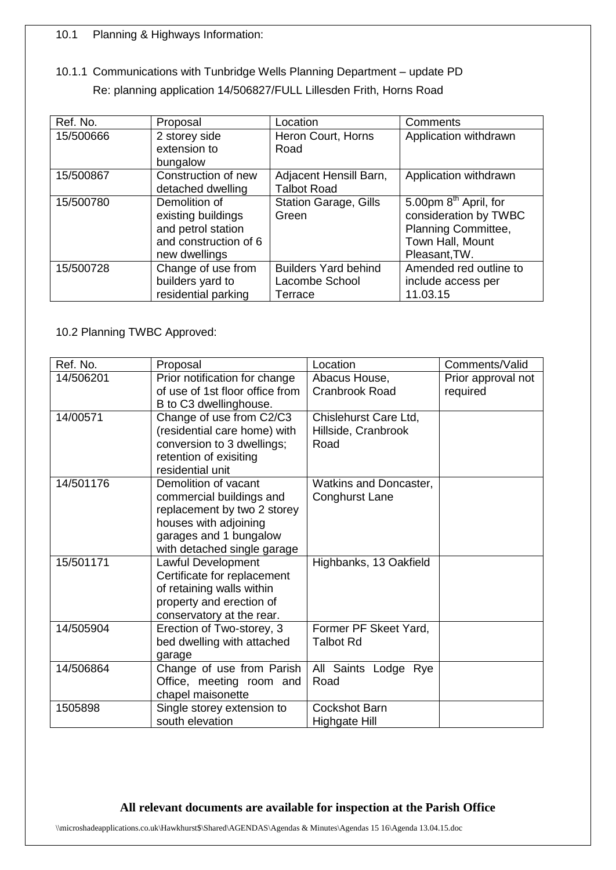## 10.1 Planning & Highways Information:

10.1.1 Communications with Tunbridge Wells Planning Department – update PD Re: planning application 14/506827/FULL Lillesden Frith, Horns Road

| Ref. No.  | Proposal              | Location                     | Comments                          |
|-----------|-----------------------|------------------------------|-----------------------------------|
| 15/500666 | 2 storey side         | Heron Court, Horns           | Application withdrawn             |
|           | extension to          | Road                         |                                   |
|           | bungalow              |                              |                                   |
| 15/500867 | Construction of new   | Adjacent Hensill Barn,       | Application withdrawn             |
|           | detached dwelling     | <b>Talbot Road</b>           |                                   |
| 15/500780 | Demolition of         | <b>Station Garage, Gills</b> | 5.00pm 8 <sup>th</sup> April, for |
|           | existing buildings    | Green                        | consideration by TWBC             |
|           | and petrol station    |                              | Planning Committee,               |
|           | and construction of 6 |                              | Town Hall, Mount                  |
|           | new dwellings         |                              | Pleasant, TW.                     |
| 15/500728 | Change of use from    | <b>Builders Yard behind</b>  | Amended red outline to            |
|           | builders yard to      | Lacombe School               | include access per                |
|           | residential parking   | Terrace                      | 11.03.15                          |

10.2 Planning TWBC Approved:

| Ref. No.  | Proposal                        | Location               | Comments/Valid     |
|-----------|---------------------------------|------------------------|--------------------|
| 14/506201 | Prior notification for change   | Abacus House,          | Prior approval not |
|           | of use of 1st floor office from | <b>Cranbrook Road</b>  | required           |
|           | B to C3 dwellinghouse.          |                        |                    |
| 14/00571  | Change of use from C2/C3        | Chislehurst Care Ltd,  |                    |
|           | (residential care home) with    | Hillside, Cranbrook    |                    |
|           | conversion to 3 dwellings;      | Road                   |                    |
|           | retention of exisiting          |                        |                    |
|           | residential unit                |                        |                    |
| 14/501176 | Demolition of vacant            | Watkins and Doncaster, |                    |
|           | commercial buildings and        | <b>Conghurst Lane</b>  |                    |
|           | replacement by two 2 storey     |                        |                    |
|           | houses with adjoining           |                        |                    |
|           | garages and 1 bungalow          |                        |                    |
|           | with detached single garage     |                        |                    |
| 15/501171 | Lawful Development              | Highbanks, 13 Oakfield |                    |
|           | Certificate for replacement     |                        |                    |
|           | of retaining walls within       |                        |                    |
|           | property and erection of        |                        |                    |
|           | conservatory at the rear.       |                        |                    |
| 14/505904 | Erection of Two-storey, 3       | Former PF Skeet Yard,  |                    |
|           | bed dwelling with attached      | <b>Talbot Rd</b>       |                    |
|           | garage                          |                        |                    |
| 14/506864 | Change of use from Parish       | All Saints Lodge Rye   |                    |
|           | Office, meeting room and        | Road                   |                    |
|           | chapel maisonette               |                        |                    |
| 1505898   | Single storey extension to      | <b>Cockshot Barn</b>   |                    |
|           | south elevation                 | Highgate Hill          |                    |

# **All relevant documents are available for inspection at the Parish Office**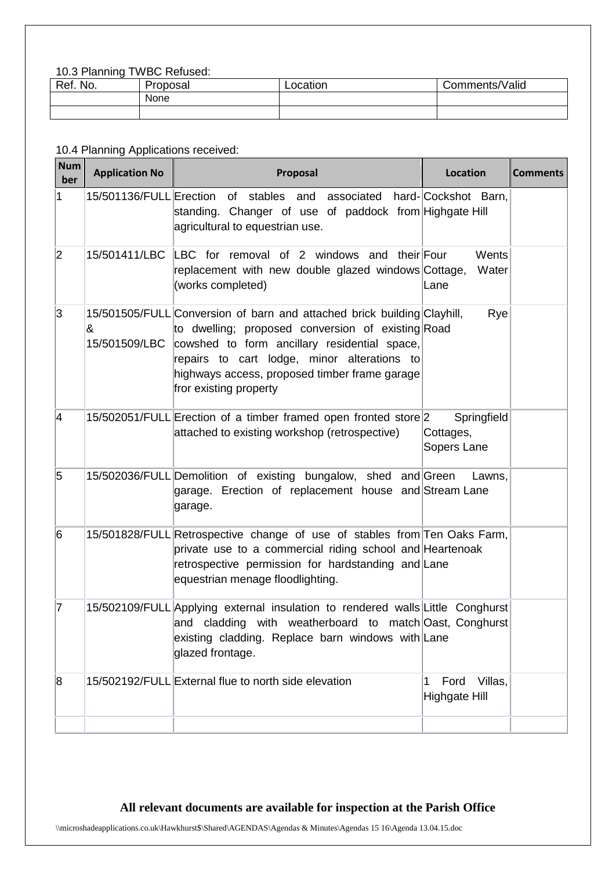#### 10.3 Planning TWBC Refused:

| Ref. No. | Proposal | Location | Comments/Valid |
|----------|----------|----------|----------------|
|          | None     |          |                |
|          |          |          |                |

# 10.4 Planning Applications received:

| <b>Num</b><br>ber | <b>Application No</b> | Proposal                                                                                                                                                                                                                                                                                               | <b>Location</b>                         | <b>Comments</b> |
|-------------------|-----------------------|--------------------------------------------------------------------------------------------------------------------------------------------------------------------------------------------------------------------------------------------------------------------------------------------------------|-----------------------------------------|-----------------|
| 1                 |                       | 15/501136/FULL Erection of stables<br>and<br>associated<br>standing. Changer of use of paddock from Highgate Hill<br>agricultural to equestrian use.                                                                                                                                                   | hard-Cockshot Barn,                     |                 |
| 2                 | 15/501411/LBC         | LBC for removal of 2 windows and their Four<br>replacement with new double glazed windows Cottage,<br>(works completed)                                                                                                                                                                                | Wents<br>Water<br>Lane                  |                 |
| 3                 | &<br>15/501509/LBC    | 15/501505/FULL Conversion of barn and attached brick building Clayhill,<br>to dwelling; proposed conversion of existing Road<br>cowshed to form ancillary residential space,<br>repairs to cart lodge, minor alterations to<br>highways access, proposed timber frame garage<br>fror existing property | Rye                                     |                 |
| 4                 |                       | 15/502051/FULL Erection of a timber framed open fronted store 2<br>attached to existing workshop (retrospective)                                                                                                                                                                                       | Springfield<br>Cottages,<br>Sopers Lane |                 |
| 5                 |                       | 15/502036/FULL Demolition of existing bungalow, shed and Green<br>garage. Erection of replacement house and Stream Lane<br>garage.                                                                                                                                                                     | Lawns,                                  |                 |
| 6                 |                       | 15/501828/FULL Retrospective change of use of stables from Ten Oaks Farm,<br>private use to a commercial riding school and Heartenoak<br>retrospective permission for hardstanding and Lane<br>equestrian menage floodlighting.                                                                        |                                         |                 |
| 17                |                       | 15/502109/FULL Applying external insulation to rendered walls Little Conghurst<br>and cladding with weatherboard to match Oast, Conghurst<br>existing cladding. Replace barn windows with Lane<br>glazed frontage.                                                                                     |                                         |                 |
| 8                 |                       | 15/502192/FULL External flue to north side elevation                                                                                                                                                                                                                                                   | Villas,<br>Ford<br>1<br>Highgate Hill   |                 |
|                   |                       |                                                                                                                                                                                                                                                                                                        |                                         |                 |

# **All relevant documents are available for inspection at the Parish Office**